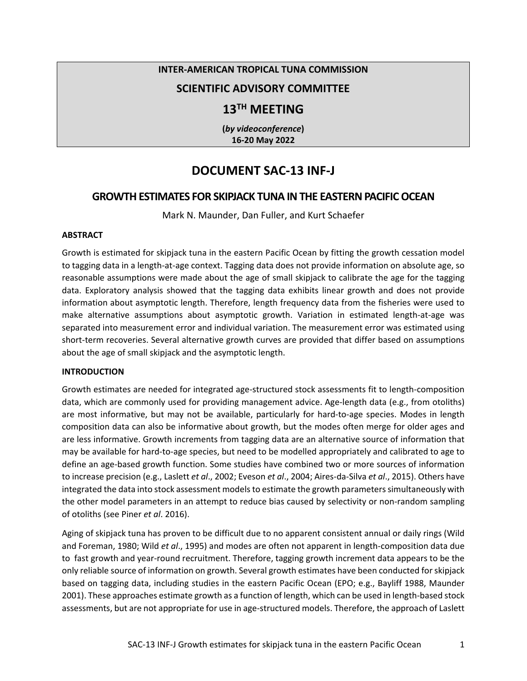# **INTER-AMERICAN TROPICAL TUNA COMMISSION**

# **SCIENTIFIC ADVISORY COMMITTEE**

# **13TH MEETING**

**(***by videoconference***) 16-20 May 2022**

# **DOCUMENT SAC-13 INF-J**

# **GROWTH ESTIMATES FOR SKIPJACK TUNA IN THE EASTERN PACIFIC OCEAN**

Mark N. Maunder, Dan Fuller, and Kurt Schaefer

#### **ABSTRACT**

Growth is estimated for skipjack tuna in the eastern Pacific Ocean by fitting the growth cessation model to tagging data in a length-at-age context. Tagging data does not provide information on absolute age, so reasonable assumptions were made about the age of small skipjack to calibrate the age for the tagging data. Exploratory analysis showed that the tagging data exhibits linear growth and does not provide information about asymptotic length. Therefore, length frequency data from the fisheries were used to make alternative assumptions about asymptotic growth. Variation in estimated length-at-age was separated into measurement error and individual variation. The measurement error was estimated using short-term recoveries. Several alternative growth curves are provided that differ based on assumptions about the age of small skipjack and the asymptotic length.

#### **INTRODUCTION**

Growth estimates are needed for integrated age-structured stock assessments fit to length-composition data, which are commonly used for providing management advice. Age-length data (e.g., from otoliths) are most informative, but may not be available, particularly for hard-to-age species. Modes in length composition data can also be informative about growth, but the modes often merge for older ages and are less informative. Growth increments from tagging data are an alternative source of information that may be available for hard-to-age species, but need to be modelled appropriately and calibrated to age to define an age-based growth function. Some studies have combined two or more sources of information to increase precision (e.g., Laslett *et al*., 2002; Eveson *et al*., 2004; Aires-da-Silva *et al*., 2015). Others have integrated the data into stock assessment models to estimate the growth parameters simultaneously with the other model parameters in an attempt to reduce bias caused by selectivity or non-random sampling of otoliths (see Piner *et al*. 2016).

Aging of skipjack tuna has proven to be difficult due to no apparent consistent annual or daily rings (Wild and Foreman, 1980; Wild *et al*., 1995) and modes are often not apparent in length-composition data due to fast growth and year-round recruitment. Therefore, tagging growth increment data appears to be the only reliable source of information on growth. Several growth estimates have been conducted for skipjack based on tagging data, including studies in the eastern Pacific Ocean (EPO; e.g., Bayliff 1988, Maunder 2001). These approaches estimate growth as a function of length, which can be used in length-based stock assessments, but are not appropriate for use in age-structured models. Therefore, the approach of Laslett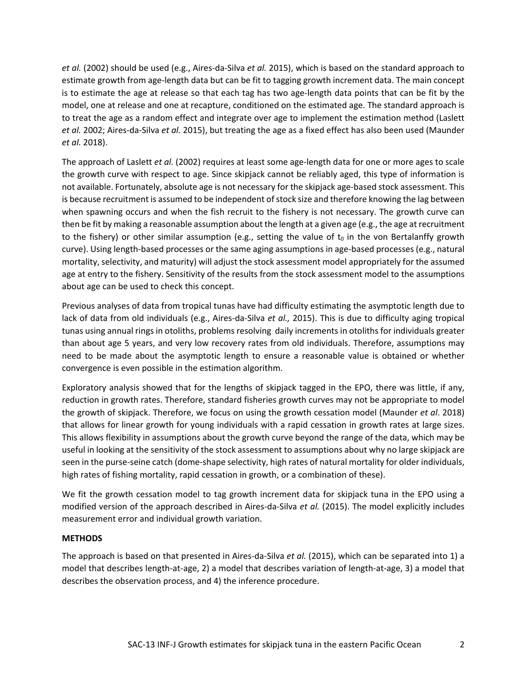*et al.* (2002) should be used (e.g., Aires-da-Silva *et al.* 2015), which is based on the standard approach to estimate growth from age-length data but can be fit to tagging growth increment data. The main concept is to estimate the age at release so that each tag has two age-length data points that can be fit by the model, one at release and one at recapture, conditioned on the estimated age. The standard approach is to treat the age as a random effect and integrate over age to implement the estimation method (Laslett *et al.* 2002; Aires-da-Silva *et al.* 2015), but treating the age as a fixed effect has also been used (Maunder *et al.* 2018).

The approach of Laslett *et al.* (2002) requires at least some age-length data for one or more ages to scale the growth curve with respect to age. Since skipjack cannot be reliably aged, this type of information is not available. Fortunately, absolute age is not necessary for the skipjack age-based stock assessment. This is because recruitment is assumed to be independent of stock size and therefore knowing the lag between when spawning occurs and when the fish recruit to the fishery is not necessary. The growth curve can then be fit by making a reasonable assumption about the length at a given age (e.g., the age at recruitment to the fishery) or other similar assumption (e.g., setting the value of  $t_0$  in the von Bertalanffy growth curve). Using length-based processes or the same aging assumptions in age-based processes (e.g., natural mortality, selectivity, and maturity) will adjust the stock assessment model appropriately for the assumed age at entry to the fishery. Sensitivity of the results from the stock assessment model to the assumptions about age can be used to check this concept.

Previous analyses of data from tropical tunas have had difficulty estimating the asymptotic length due to lack of data from old individuals (e.g., Aires-da-Silva *et al.,* 2015). This is due to difficulty aging tropical tunas using annual rings in otoliths, problems resolving daily increments in otoliths for individuals greater than about age 5 years, and very low recovery rates from old individuals. Therefore, assumptions may need to be made about the asymptotic length to ensure a reasonable value is obtained or whether convergence is even possible in the estimation algorithm.

Exploratory analysis showed that for the lengths of skipjack tagged in the EPO, there was little, if any, reduction in growth rates. Therefore, standard fisheries growth curves may not be appropriate to model the growth of skipjack. Therefore, we focus on using the growth cessation model (Maunder *et al*. 2018) that allows for linear growth for young individuals with a rapid cessation in growth rates at large sizes. This allows flexibility in assumptions about the growth curve beyond the range of the data, which may be useful in looking at the sensitivity of the stock assessment to assumptions about why no large skipjack are seen in the purse-seine catch (dome-shape selectivity, high rates of natural mortality for older individuals, high rates of fishing mortality, rapid cessation in growth, or a combination of these).

We fit the growth cessation model to tag growth increment data for skipjack tuna in the EPO using a modified version of the approach described in Aires-da-Silva *et al.* (2015). The model explicitly includes measurement error and individual growth variation.

# **METHODS**

The approach is based on that presented in Aires-da-Silva *et al.* (2015), which can be separated into 1) a model that describes length-at-age, 2) a model that describes variation of length-at-age, 3) a model that describes the observation process, and 4) the inference procedure.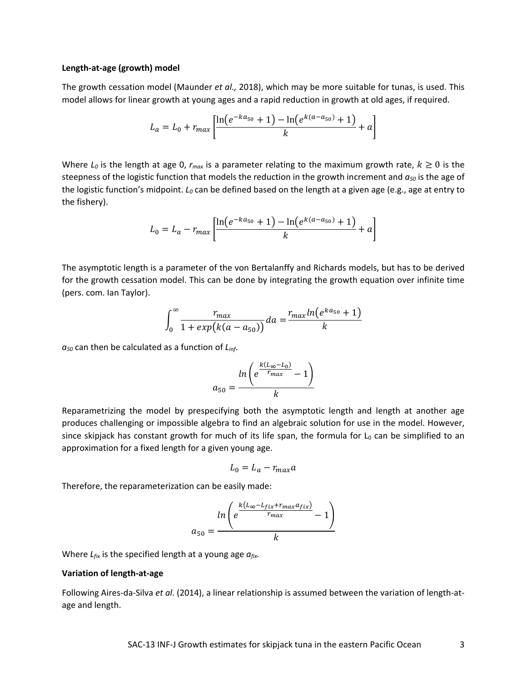#### **Length-at-age (growth) model**

The growth cessation model (Maunder *et al.,* 2018), which may be more suitable for tunas, is used. This model allows for linear growth at young ages and a rapid reduction in growth at old ages, if required.

$$
L_a = L_0 + r_{max} \left[ \frac{\ln(e^{-ka_{50}} + 1) - \ln(e^{k(a - a_{50})} + 1)}{k} + a \right]
$$

Where  $L_0$  is the length at age 0,  $r_{max}$  is a parameter relating to the maximum growth rate,  $k \ge 0$  is the steepness of the logistic function that models the reduction in the growth increment and  $a_{50}$  is the age of the logistic function's midpoint. *L*<sub>0</sub> can be defined based on the length at a given age (e.g., age at entry to the fishery).

$$
L_0 = L_a - r_{max} \left[ \frac{\ln(e^{-ka_{50}} + 1) - \ln(e^{k(a - a_{50})} + 1)}{k} + a \right]
$$

The asymptotic length is a parameter of the von Bertalanffy and Richards models, but has to be derived for the growth cessation model. This can be done by integrating the growth equation over infinite time (pers. com. Ian Taylor).

$$
\int_0^{\infty} \frac{r_{max}}{1 + exp(k(a - a_{50}))} da = \frac{r_{max} ln(e^{ka_{50}} + 1)}{k}
$$

*a50* can then be calculated as a function of *Linf*.

$$
a_{50} = \frac{\ln\left(e^{\frac{k(L_{\infty}-L_0)}{r_{max}}} - 1\right)}{k}
$$

Reparametrizing the model by prespecifying both the asymptotic length and length at another age produces challenging or impossible algebra to find an algebraic solution for use in the model. However, since skipjack has constant growth for much of its life span, the formula for  $L_0$  can be simplified to an approximation for a fixed length for a given young age.

$$
L_0 = L_a - r_{max}a
$$

Therefore, the reparameterization can be easily made:

$$
a_{50} = \frac{\ln\left(e^{\frac{k(L_{\infty} - L_{fix} + r_{max} a_{fix})}{r_{max}}} - 1\right)}{k}
$$

Where *Lfix* is the specified length at a young age *afix.*

#### **Variation of length-at-age**

Following Aires-da-Silva *et al*. (2014), a linear relationship is assumed between the variation of length-atage and length.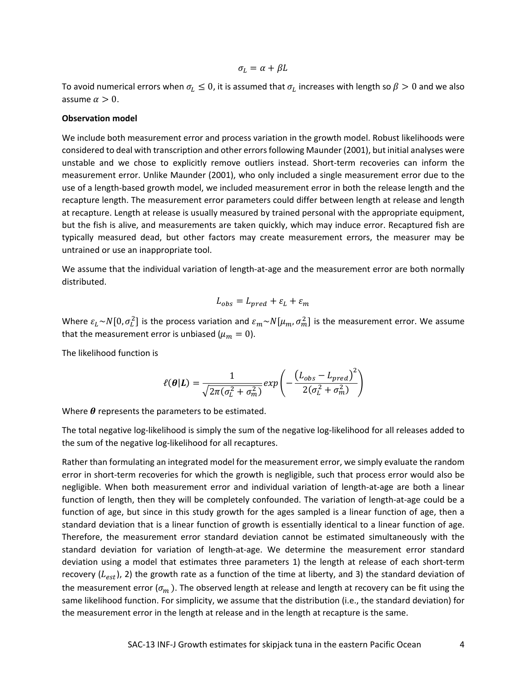$\sigma_L = \alpha + \beta L$ 

To avoid numerical errors when  $\sigma_L \leq 0$ , it is assumed that  $\sigma_L$  increases with length so  $\beta > 0$  and we also assume  $\alpha > 0$ .

#### **Observation model**

We include both measurement error and process variation in the growth model. Robust likelihoods were considered to deal with transcription and other errors following Maunder (2001), but initial analyses were unstable and we chose to explicitly remove outliers instead. Short-term recoveries can inform the measurement error. Unlike Maunder (2001), who only included a single measurement error due to the use of a length-based growth model, we included measurement error in both the release length and the recapture length. The measurement error parameters could differ between length at release and length at recapture. Length at release is usually measured by trained personal with the appropriate equipment, but the fish is alive, and measurements are taken quickly, which may induce error. Recaptured fish are typically measured dead, but other factors may create measurement errors, the measurer may be untrained or use an inappropriate tool.

We assume that the individual variation of length-at-age and the measurement error are both normally distributed.

$$
L_{obs} = L_{pred} + \varepsilon_L + \varepsilon_m
$$

Where  $\varepsilon_L \sim N[0, \sigma_L^2]$  is the process variation and  $\varepsilon_m \sim N[\mu_m, \sigma_m^2]$  is the measurement error. We assume that the measurement error is unbiased ( $\mu_m = 0$ ).

The likelihood function is

$$
\ell(\boldsymbol{\theta}|\boldsymbol{L}) = \frac{1}{\sqrt{2\pi(\sigma_L^2 + \sigma_m^2)}} exp\left(-\frac{\left(L_{obs} - L_{pred}\right)^2}{2(\sigma_L^2 + \sigma_m^2)}\right)
$$

Where  $\theta$  represents the parameters to be estimated.

The total negative log-likelihood is simply the sum of the negative log-likelihood for all releases added to the sum of the negative log-likelihood for all recaptures.

Rather than formulating an integrated model for the measurement error, we simply evaluate the random error in short-term recoveries for which the growth is negligible, such that process error would also be negligible. When both measurement error and individual variation of length-at-age are both a linear function of length, then they will be completely confounded. The variation of length-at-age could be a function of age, but since in this study growth for the ages sampled is a linear function of age, then a standard deviation that is a linear function of growth is essentially identical to a linear function of age. Therefore, the measurement error standard deviation cannot be estimated simultaneously with the standard deviation for variation of length-at-age. We determine the measurement error standard deviation using a model that estimates three parameters 1) the length at release of each short-term recovery  $(L_{est})$ , 2) the growth rate as a function of the time at liberty, and 3) the standard deviation of the measurement error  $(\sigma_m)$ . The observed length at release and length at recovery can be fit using the same likelihood function. For simplicity, we assume that the distribution (i.e., the standard deviation) for the measurement error in the length at release and in the length at recapture is the same.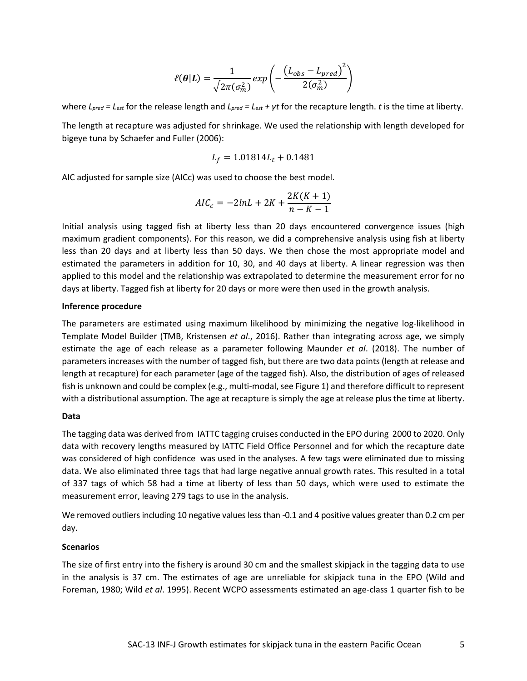$$
\ell(\boldsymbol{\theta}|L) = \frac{1}{\sqrt{2\pi(\sigma_m^2)}} exp\left(-\frac{(L_{obs} - L_{pred})^2}{2(\sigma_m^2)}\right)
$$

where *Lpred = Lest* for the release length and *Lpred = Lest + γt* for the recapture length. *t* is the time at liberty.

The length at recapture was adjusted for shrinkage. We used the relationship with length developed for bigeye tuna by Schaefer and Fuller (2006):

$$
L_f=1.01814L_t+0.1481\,
$$

AIC adjusted for sample size (AICc) was used to choose the best model.

$$
AIC_c = -2lnL + 2K + \frac{2K(K+1)}{n - K - 1}
$$

Initial analysis using tagged fish at liberty less than 20 days encountered convergence issues (high maximum gradient components). For this reason, we did a comprehensive analysis using fish at liberty less than 20 days and at liberty less than 50 days. We then chose the most appropriate model and estimated the parameters in addition for 10, 30, and 40 days at liberty. A linear regression was then applied to this model and the relationship was extrapolated to determine the measurement error for no days at liberty. Tagged fish at liberty for 20 days or more were then used in the growth analysis.

#### **Inference procedure**

The parameters are estimated using maximum likelihood by minimizing the negative log-likelihood in Template Model Builder (TMB, Kristensen *et al*., 2016). Rather than integrating across age, we simply estimate the age of each release as a parameter following Maunder *et al*. (2018). The number of parameters increases with the number of tagged fish, but there are two data points (length at release and length at recapture) for each parameter (age of the tagged fish). Also, the distribution of ages of released fish is unknown and could be complex (e.g., multi-modal, see Figure 1) and therefore difficult to represent with a distributional assumption. The age at recapture is simply the age at release plus the time at liberty.

### **Data**

The tagging data was derived from IATTC tagging cruises conducted in the EPO during 2000 to 2020. Only data with recovery lengths measured by IATTC Field Office Personnel and for which the recapture date was considered of high confidence was used in the analyses. A few tags were eliminated due to missing data. We also eliminated three tags that had large negative annual growth rates. This resulted in a total of 337 tags of which 58 had a time at liberty of less than 50 days, which were used to estimate the measurement error, leaving 279 tags to use in the analysis.

We removed outliers including 10 negative values less than -0.1 and 4 positive values greater than 0.2 cm per day.

#### **Scenarios**

The size of first entry into the fishery is around 30 cm and the smallest skipjack in the tagging data to use in the analysis is 37 cm. The estimates of age are unreliable for skipjack tuna in the EPO (Wild and Foreman, 1980; Wild *et al*. 1995). Recent WCPO assessments estimated an age-class 1 quarter fish to be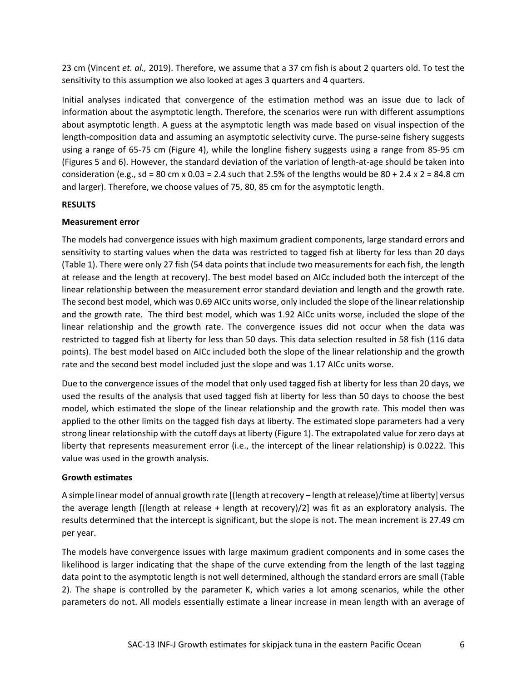23 cm (Vincent *et. al.,* 2019). Therefore, we assume that a 37 cm fish is about 2 quarters old. To test the sensitivity to this assumption we also looked at ages 3 quarters and 4 quarters.

Initial analyses indicated that convergence of the estimation method was an issue due to lack of information about the asymptotic length. Therefore, the scenarios were run with different assumptions about asymptotic length. A guess at the asymptotic length was made based on visual inspection of the length-composition data and assuming an asymptotic selectivity curve. The purse-seine fishery suggests using a range of 65-75 cm (Figure 4), while the longline fishery suggests using a range from 85-95 cm (Figures 5 and 6). However, the standard deviation of the variation of length-at-age should be taken into consideration (e.g., sd = 80 cm x 0.03 = 2.4 such that 2.5% of the lengths would be  $80 + 2.4$  x 2 = 84.8 cm and larger). Therefore, we choose values of 75, 80, 85 cm for the asymptotic length.

## **RESULTS**

## **Measurement error**

The models had convergence issues with high maximum gradient components, large standard errors and sensitivity to starting values when the data was restricted to tagged fish at liberty for less than 20 days (Table 1). There were only 27 fish (54 data points that include two measurements for each fish, the length at release and the length at recovery). The best model based on AICc included both the intercept of the linear relationship between the measurement error standard deviation and length and the growth rate. The second best model, which was 0.69 AICc units worse, only included the slope of the linear relationship and the growth rate. The third best model, which was 1.92 AICc units worse, included the slope of the linear relationship and the growth rate. The convergence issues did not occur when the data was restricted to tagged fish at liberty for less than 50 days. This data selection resulted in 58 fish (116 data points). The best model based on AICc included both the slope of the linear relationship and the growth rate and the second best model included just the slope and was 1.17 AICc units worse.

Due to the convergence issues of the model that only used tagged fish at liberty for less than 20 days, we used the results of the analysis that used tagged fish at liberty for less than 50 days to choose the best model, which estimated the slope of the linear relationship and the growth rate. This model then was applied to the other limits on the tagged fish days at liberty. The estimated slope parameters had a very strong linear relationship with the cutoff days at liberty (Figure 1). The extrapolated value for zero days at liberty that represents measurement error (i.e., the intercept of the linear relationship) is 0.0222. This value was used in the growth analysis.

# **Growth estimates**

A simple linear model of annual growth rate [(length at recovery – length at release)/time at liberty] versus the average length [(length at release + length at recovery)/2] was fit as an exploratory analysis. The results determined that the intercept is significant, but the slope is not. The mean increment is 27.49 cm per year.

The models have convergence issues with large maximum gradient components and in some cases the likelihood is larger indicating that the shape of the curve extending from the length of the last tagging data point to the asymptotic length is not well determined, although the standard errors are small (Table 2). The shape is controlled by the parameter K, which varies a lot among scenarios, while the other parameters do not. All models essentially estimate a linear increase in mean length with an average of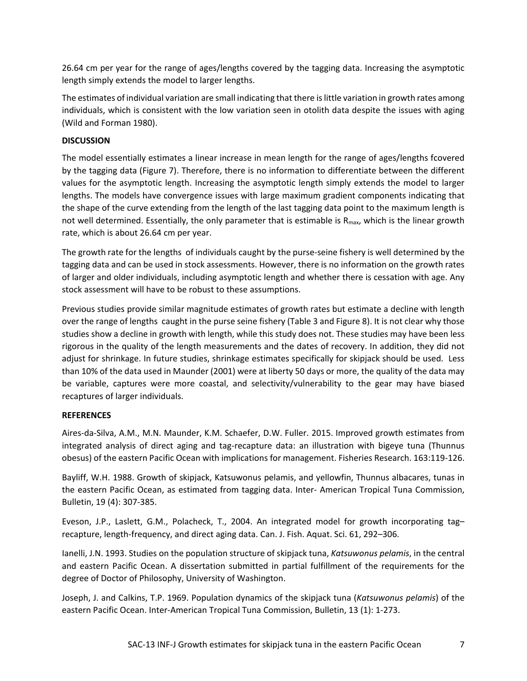26.64 cm per year for the range of ages/lengths covered by the tagging data. Increasing the asymptotic length simply extends the model to larger lengths.

The estimates of individual variation are small indicating that there is little variation in growth rates among individuals, which is consistent with the low variation seen in otolith data despite the issues with aging (Wild and Forman 1980).

# **DISCUSSION**

The model essentially estimates a linear increase in mean length for the range of ages/lengths fcovered by the tagging data (Figure 7). Therefore, there is no information to differentiate between the different values for the asymptotic length. Increasing the asymptotic length simply extends the model to larger lengths. The models have convergence issues with large maximum gradient components indicating that the shape of the curve extending from the length of the last tagging data point to the maximum length is not well determined. Essentially, the only parameter that is estimable is  $R_{\text{max}}$ , which is the linear growth rate, which is about 26.64 cm per year.

The growth rate for the lengths of individuals caught by the purse-seine fishery is well determined by the tagging data and can be used in stock assessments. However, there is no information on the growth rates of larger and older individuals, including asymptotic length and whether there is cessation with age. Any stock assessment will have to be robust to these assumptions.

Previous studies provide similar magnitude estimates of growth rates but estimate a decline with length over the range of lengths caught in the purse seine fishery (Table 3 and Figure 8). It is not clear why those studies show a decline in growth with length, while this study does not. These studies may have been less rigorous in the quality of the length measurements and the dates of recovery. In addition, they did not adjust for shrinkage. In future studies, shrinkage estimates specifically for skipjack should be used. Less than 10% of the data used in Maunder (2001) were at liberty 50 days or more, the quality of the data may be variable, captures were more coastal, and selectivity/vulnerability to the gear may have biased recaptures of larger individuals.

# **REFERENCES**

Aires-da-Silva, A.M., M.N. Maunder, K.M. Schaefer, D.W. Fuller. 2015. Improved growth estimates from integrated analysis of direct aging and tag-recapture data: an illustration with bigeye tuna (Thunnus obesus) of the eastern Pacific Ocean with implications for management. Fisheries Research. 163:119-126.

Bayliff, W.H. 1988. Growth of skipjack, Katsuwonus pelamis, and yellowfin, Thunnus albacares, tunas in the eastern Pacific Ocean, as estimated from tagging data. Inter- American Tropical Tuna Commission, Bulletin, 19 (4): 307-385.

Eveson, J.P., Laslett, G.M., Polacheck, T., 2004. An integrated model for growth incorporating tag– recapture, length-frequency, and direct aging data. Can. J. Fish. Aquat. Sci. 61, 292–306.

Ianelli, J.N. 1993. Studies on the population structure of skipjack tuna, *Katsuwonus pelamis*, in the central and eastern Pacific Ocean. A dissertation submitted in partial fulfillment of the requirements for the degree of Doctor of Philosophy, University of Washington.

Joseph, J. and Calkins, T.P. 1969. Population dynamics of the skipjack tuna (*Katsuwonus pelamis*) of the eastern Pacific Ocean. Inter-American Tropical Tuna Commission, Bulletin, 13 (1): 1-273.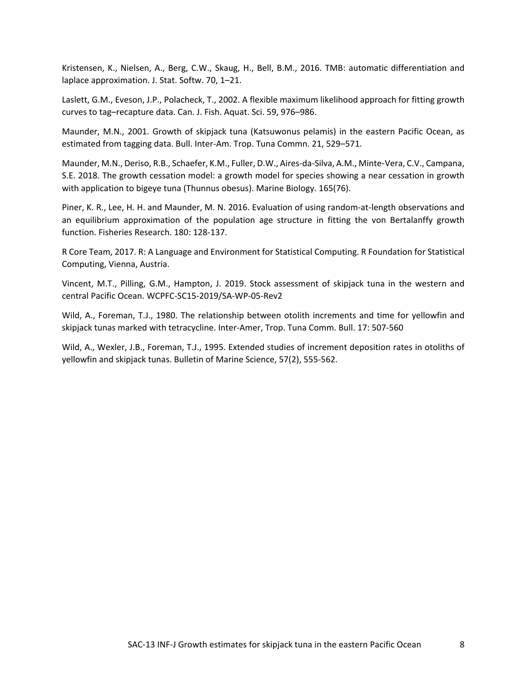Kristensen, K., Nielsen, A., Berg, C.W., Skaug, H., Bell, B.M., 2016. TMB: automatic differentiation and laplace approximation. J. Stat. Softw. 70, 1–21.

Laslett, G.M., Eveson, J.P., Polacheck, T., 2002. A flexible maximum likelihood approach for fitting growth curves to tag–recapture data. Can. J. Fish. Aquat. Sci. 59, 976–986.

Maunder, M.N., 2001. Growth of skipjack tuna (Katsuwonus pelamis) in the eastern Pacific Ocean, as estimated from tagging data. Bull. Inter-Am. Trop. Tuna Commn. 21, 529–571.

Maunder, M.N., Deriso, R.B., Schaefer, K.M., Fuller, D.W., Aires-da-Silva, A.M., Minte‑Vera, C.V., Campana, S.E. 2018. The growth cessation model: a growth model for species showing a near cessation in growth with application to bigeye tuna (Thunnus obesus). Marine Biology. 165(76).

Piner, K. R., Lee, H. H. and Maunder, M. N. 2016. Evaluation of using random-at-length observations and an equilibrium approximation of the population age structure in fitting the von Bertalanffy growth function. Fisheries Research. 180: 128-137.

R Core Team, 2017. R: A Language and Environment for Statistical Computing. R Foundation for Statistical Computing, Vienna, Austria.

Vincent, M.T., Pilling, G.M., Hampton, J. 2019. Stock assessment of skipjack tuna in the western and central Pacific Ocean. WCPFC-SC15-2019/SA-WP-05-Rev2

Wild, A., Foreman, T.J., 1980. The relationship between otolith increments and time for yellowfin and skipjack tunas marked with tetracycline. Inter-Amer, Trop. Tuna Comm. Bull. 17: 507-560

Wild, A., Wexler, J.B., Foreman, T.J., 1995. Extended studies of increment deposition rates in otoliths of yellowfin and skipjack tunas. Bulletin of Marine Science, 57(2), 555-562.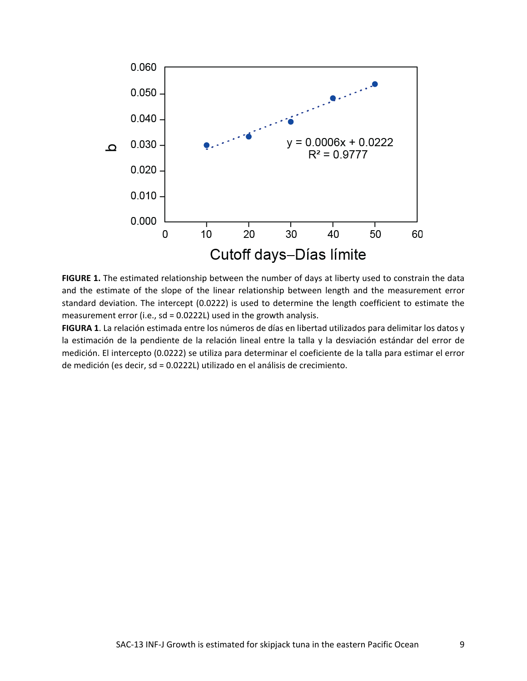

**FIGURE 1.** The estimated relationship between the number of days at liberty used to constrain the data and the estimate of the slope of the linear relationship between length and the measurement error standard deviation. The intercept (0.0222) is used to determine the length coefficient to estimate the measurement error (i.e., sd = 0.0222L) used in the growth analysis.

**FIGURA 1**. La relación estimada entre los números de días en libertad utilizados para delimitar los datos y la estimación de la pendiente de la relación lineal entre la talla y la desviación estándar del error de medición. El intercepto (0.0222) se utiliza para determinar el coeficiente de la talla para estimar el error de medición (es decir, sd = 0.0222L) utilizado en el análisis de crecimiento.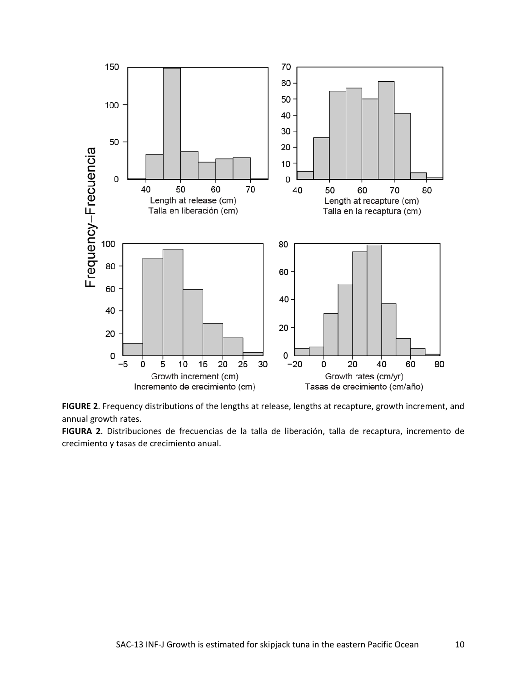

**FIGURE 2**. Frequency distributions of the lengths at release, lengths at recapture, growth increment, and annual growth rates.

**FIGURA 2**. Distribuciones de frecuencias de la talla de liberación, talla de recaptura, incremento de crecimiento y tasas de crecimiento anual.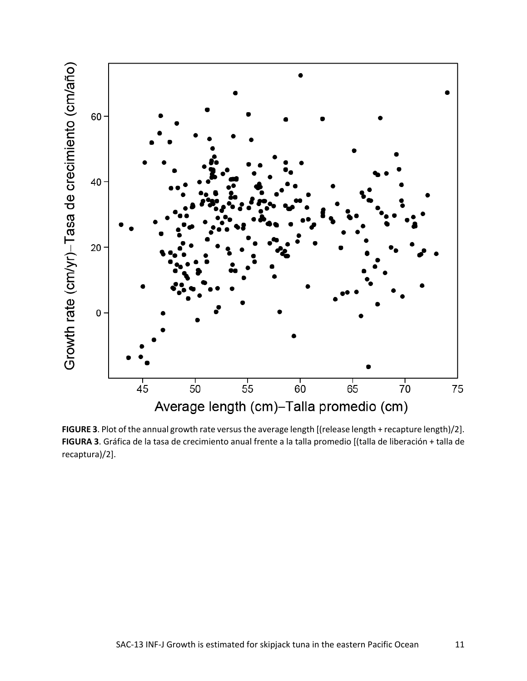

FIGURE 3. Plot of the annual growth rate versus the average length [(release length + recapture length)/2]. **FIGURA 3**. Gráfica de la tasa de crecimiento anual frente a la talla promedio [(talla de liberación + talla de recaptura)/2].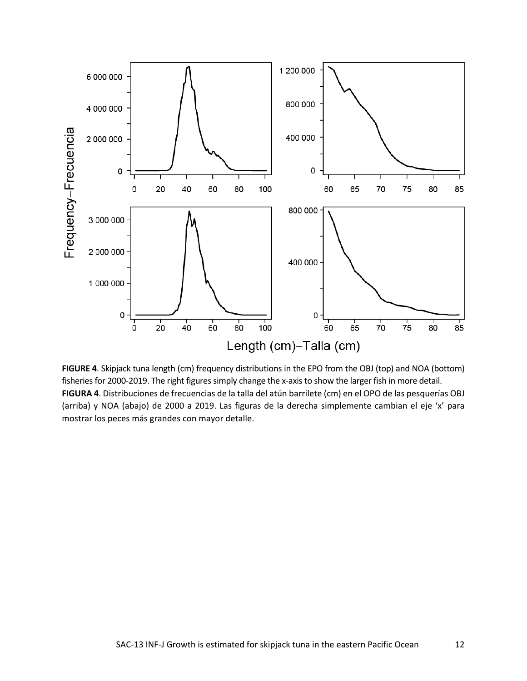

**FIGURE 4**. Skipjack tuna length (cm) frequency distributions in the EPO from the OBJ (top) and NOA (bottom) fisheries for 2000-2019. The right figures simply change the x-axis to show the larger fish in more detail. **FIGURA 4**. Distribuciones de frecuencias de la talla del atún barrilete (cm) en el OPO de las pesquerías OBJ (arriba) y NOA (abajo) de 2000 a 2019. Las figuras de la derecha simplemente cambian el eje 'x' para mostrar los peces más grandes con mayor detalle.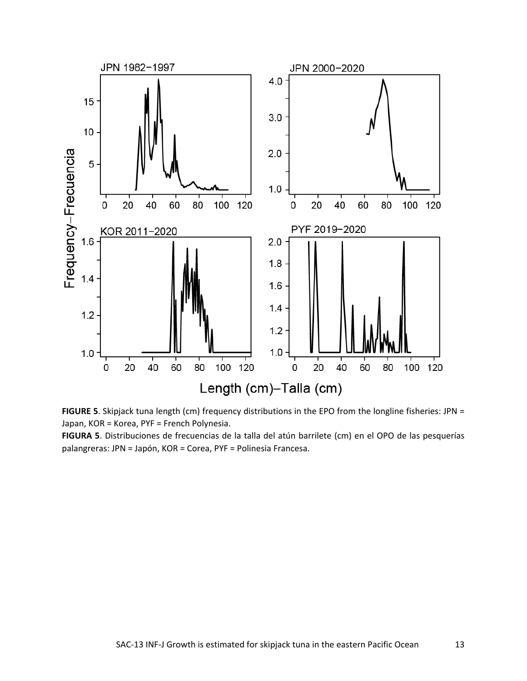

**FIGURE 5**. Skipjack tuna length (cm) frequency distributions in the EPO from the longline fisheries: JPN = Japan, KOR = Korea, PYF = French Polynesia.

**FIGURA 5**. Distribuciones de frecuencias de la talla del atún barrilete (cm) en el OPO de las pesquerías palangreras: JPN = Japón, KOR = Corea, PYF = Polinesia Francesa.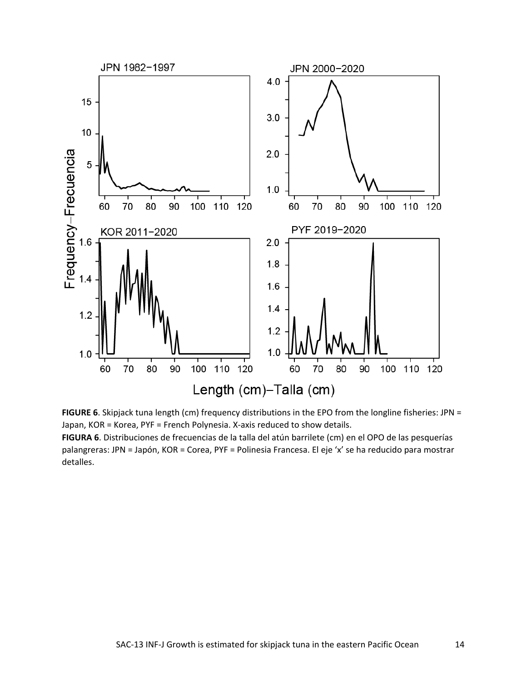



**FIGURA 6**. Distribuciones de frecuencias de la talla del atún barrilete (cm) en el OPO de las pesquerías palangreras: JPN = Japón, KOR = Corea, PYF = Polinesia Francesa. El eje 'x' se ha reducido para mostrar detalles.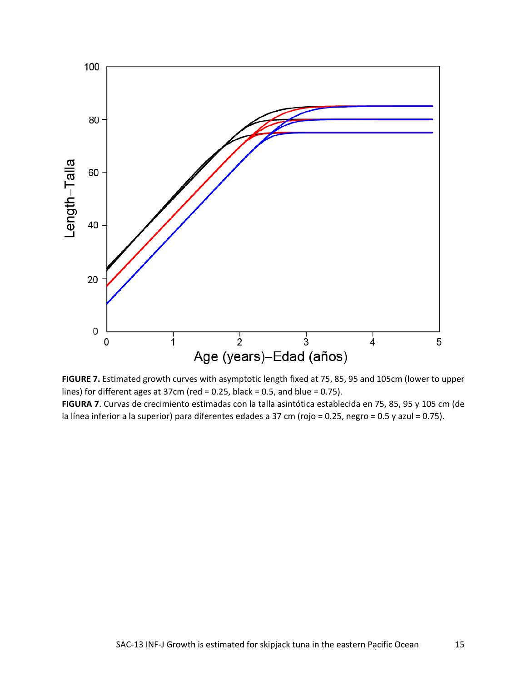

**FIGURE 7.** Estimated growth curves with asymptotic length fixed at 75, 85, 95 and 105cm (lower to upper lines) for different ages at 37cm (red = 0.25, black = 0.5, and blue = 0.75).

**FIGURA 7**. Curvas de crecimiento estimadas con la talla asintótica establecida en 75, 85, 95 y 105 cm (de la línea inferior a la superior) para diferentes edades a 37 cm (rojo = 0.25, negro = 0.5 y azul = 0.75).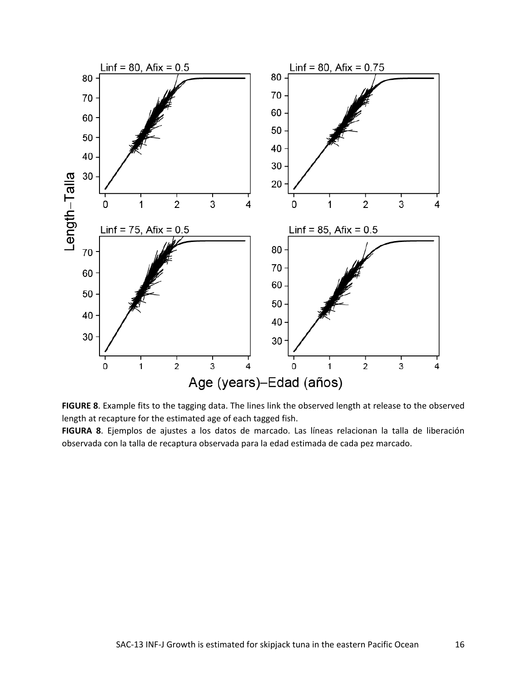



**FIGURA 8**. Ejemplos de ajustes a los datos de marcado. Las líneas relacionan la talla de liberación observada con la talla de recaptura observada para la edad estimada de cada pez marcado.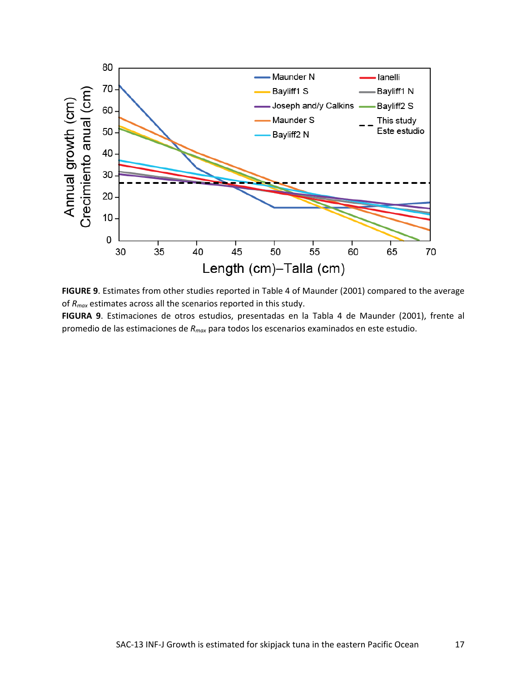

**FIGURE 9**. Estimates from other studies reported in Table 4 of Maunder (2001) compared to the average of *Rmax* estimates across all the scenarios reported in this study.

**FIGURA 9**. Estimaciones de otros estudios, presentadas en la Tabla 4 de Maunder (2001), frente al promedio de las estimaciones de *Rmax* para todos los escenarios examinados en este estudio.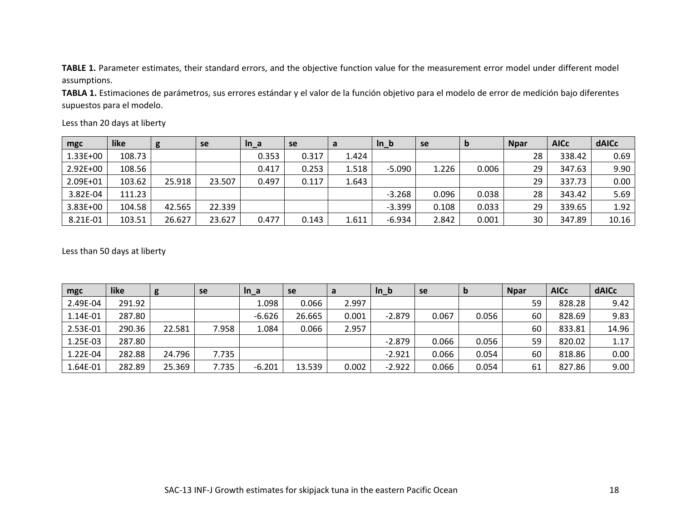**TABLE 1.** Parameter estimates, their standard errors, and the objective function value for the measurement error model under different model assumptions.

**TABLA 1.** Estimaciones de parámetros, sus errores estándar y el valor de la función objetivo para el modelo de error de medición bajo diferentes supuestos para el modelo.

| mgc      | like   | g      | se     | $In_a$ | se    | a     | $In_b$   | se    | D     | <b>Npar</b> | <b>AICc</b> | dAICc |
|----------|--------|--------|--------|--------|-------|-------|----------|-------|-------|-------------|-------------|-------|
| 1.33E+00 | 108.73 |        |        | 0.353  | 0.317 | 1.424 |          |       |       | 28          | 338.42      | 0.69  |
| 2.92E+00 | 108.56 |        |        | 0.417  | 0.253 | 1.518 | $-5.090$ | 1.226 | 0.006 | 29          | 347.63      | 9.90  |
| 2.09E+01 | 103.62 | 25.918 | 23.507 | 0.497  | 0.117 | 1.643 |          |       |       | 29          | 337.73      | 0.00  |
| 3.82E-04 | 111.23 |        |        |        |       |       | $-3.268$ | 0.096 | 0.038 | 28          | 343.42      | 5.69  |
| 3.83E+00 | 104.58 | 42.565 | 22.339 |        |       |       | $-3.399$ | 0.108 | 0.033 | 29          | 339.65      | 1.92  |
| 8.21E-01 | 103.51 | 26.627 | 23.627 | 0.477  | 0.143 | 1.611 | $-6.934$ | 2.842 | 0.001 | 30          | 347.89      | 10.16 |

Less than 20 days at liberty

Less than 50 days at liberty

| mgc      | like   | g      | <b>se</b> | $In_a$   | se     | a     | $ln_b$   | se    | b     | <b>Npar</b> | <b>AICc</b> | <b>dAICc</b> |
|----------|--------|--------|-----------|----------|--------|-------|----------|-------|-------|-------------|-------------|--------------|
| 2.49E-04 | 291.92 |        |           | 1.098    | 0.066  | 2.997 |          |       |       | 59          | 828.28      | 9.42         |
| 1.14E-01 | 287.80 |        |           | $-6.626$ | 26.665 | 0.001 | $-2.879$ | 0.067 | 0.056 | 60          | 828.69      | 9.83         |
| 2.53E-01 | 290.36 | 22.581 | 7.958     | 1.084    | 0.066  | 2.957 |          |       |       | 60          | 833.81      | 14.96        |
| 1.25E-03 | 287.80 |        |           |          |        |       | $-2.879$ | 0.066 | 0.056 | 59          | 820.02      | 1.17         |
| 1.22E-04 | 282.88 | 24.796 | 7.735     |          |        |       | $-2.921$ | 0.066 | 0.054 | 60          | 818.86      | 0.00         |
| 1.64E-01 | 282.89 | 25.369 | 7.735     | $-6.201$ | 13.539 | 0.002 | $-2.922$ | 0.066 | 0.054 | 61          | 827.86      | 9.00         |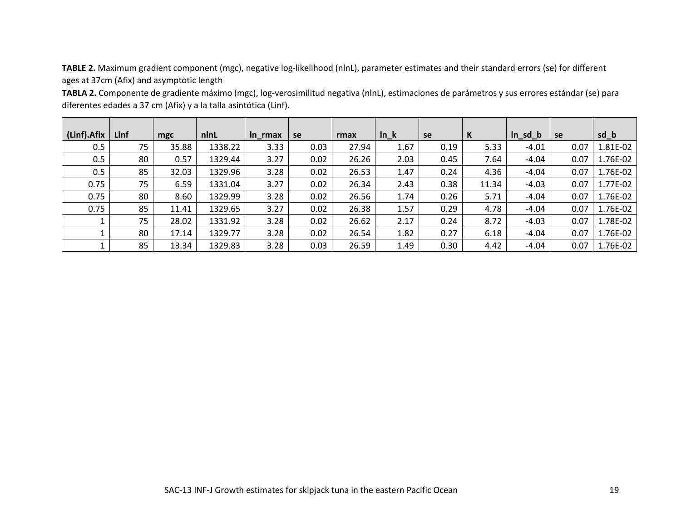**TABLE 2.** Maximum gradient component (mgc), negative log-likelihood (nlnL), parameter estimates and their standard errors (se) for different ages at 37cm (Afix) and asymptotic length

**TABLA 2.** Componente de gradiente máximo (mgc), log-verosimilitud negativa (nlnL), estimaciones de parámetros y sus errores estándar (se) para diferentes edades a 37 cm (Afix) y a la talla asintótica (Linf).

| (Linf).Afix | Linf | mgc   | nlnL    | In rmax | se   | rmax  | $ln_k$ | se   | К     | $ln_s d_b$ | se   | sd_b     |
|-------------|------|-------|---------|---------|------|-------|--------|------|-------|------------|------|----------|
| 0.5         | 75   | 35.88 | 1338.22 | 3.33    | 0.03 | 27.94 | 1.67   | 0.19 | 5.33  | $-4.01$    | 0.07 | 1.81E-02 |
| 0.5         | 80   | 0.57  | 1329.44 | 3.27    | 0.02 | 26.26 | 2.03   | 0.45 | 7.64  | -4.04      | 0.07 | 1.76E-02 |
| 0.5         | 85   | 32.03 | 1329.96 | 3.28    | 0.02 | 26.53 | 1.47   | 0.24 | 4.36  | $-4.04$    | 0.07 | 1.76E-02 |
| 0.75        | 75   | 6.59  | 1331.04 | 3.27    | 0.02 | 26.34 | 2.43   | 0.38 | 11.34 | $-4.03$    | 0.07 | 1.77E-02 |
| 0.75        | 80   | 8.60  | 1329.99 | 3.28    | 0.02 | 26.56 | 1.74   | 0.26 | 5.71  | $-4.04$    | 0.07 | 1.76E-02 |
| 0.75        | 85   | 11.41 | 1329.65 | 3.27    | 0.02 | 26.38 | 1.57   | 0.29 | 4.78  | $-4.04$    | 0.07 | 1.76E-02 |
|             | 75   | 28.02 | 1331.92 | 3.28    | 0.02 | 26.62 | 2.17   | 0.24 | 8.72  | $-4.03$    | 0.07 | 1.78E-02 |
|             | 80   | 17.14 | 1329.77 | 3.28    | 0.02 | 26.54 | 1.82   | 0.27 | 6.18  | $-4.04$    | 0.07 | 1.76E-02 |
|             | 85   | 13.34 | 1329.83 | 3.28    | 0.03 | 26.59 | 1.49   | 0.30 | 4.42  | $-4.04$    | 0.07 | 1.76E-02 |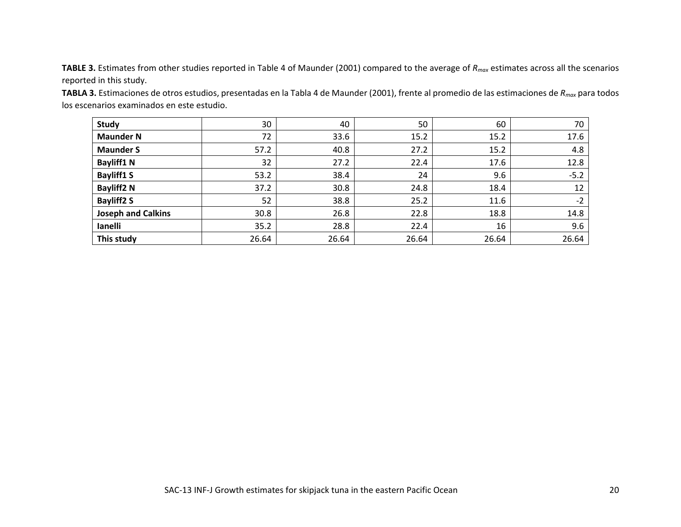**TABLE 3.** Estimates from other studies reported in Table 4 of Maunder (2001) compared to the average of *Rmax* estimates across all the scenarios reported in this study.

**TABLA 3.** Estimaciones de otros estudios, presentadas en la Tabla 4 de Maunder (2001), frente al promedio de las estimaciones de *Rmax* para todos los escenarios examinados en este estudio.

| <b>Study</b>              | 30    | 40    | 50    | 60    | 70     |
|---------------------------|-------|-------|-------|-------|--------|
| <b>Maunder N</b>          | 72    | 33.6  | 15.2  | 15.2  | 17.6   |
| <b>Maunder S</b>          | 57.2  | 40.8  | 27.2  | 15.2  | 4.8    |
| <b>Bayliff1 N</b>         | 32    | 27.2  | 22.4  | 17.6  | 12.8   |
| <b>Bayliff1 S</b>         | 53.2  | 38.4  | 24    | 9.6   | $-5.2$ |
| <b>Bayliff2N</b>          | 37.2  | 30.8  | 24.8  | 18.4  | 12     |
| <b>Bayliff2 S</b>         | 52    | 38.8  | 25.2  | 11.6  | $-2$   |
| <b>Joseph and Calkins</b> | 30.8  | 26.8  | 22.8  | 18.8  | 14.8   |
| lanelli                   | 35.2  | 28.8  | 22.4  | 16    | 9.6    |
| This study                | 26.64 | 26.64 | 26.64 | 26.64 | 26.64  |